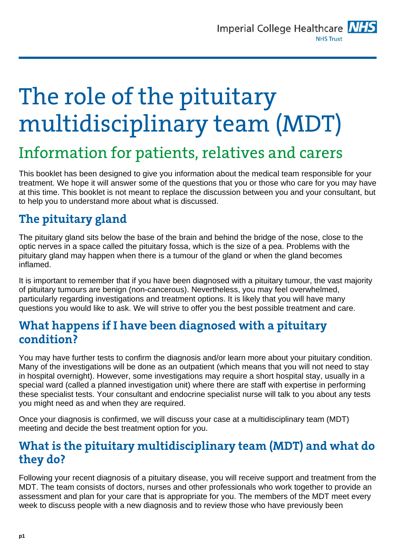# The role of the pituitary multidisciplinary team (MDT)

## Information for patients, relatives and carers

This booklet has been designed to give you information about the medical team responsible for your treatment. We hope it will answer some of the questions that you or those who care for you may have at this time. This booklet is not meant to replace the discussion between you and your consultant, but to help you to understand more about what is discussed.

### **The pituitary gland**

The pituitary gland sits below the base of the brain and behind the bridge of the nose, close to the optic nerves in a space called the pituitary fossa, which is the size of a pea. Problems with the pituitary gland may happen when there is a tumour of the gland or when the gland becomes inflamed.

It is important to remember that if you have been diagnosed with a pituitary tumour, the vast majority of pituitary tumours are benign (non-cancerous). Nevertheless, you may feel overwhelmed, particularly regarding investigations and treatment options. It is likely that you will have many questions you would like to ask. We will strive to offer you the best possible treatment and care.

### **What happens if I have been diagnosed with a pituitary condition?**

You may have further tests to confirm the diagnosis and/or learn more about your pituitary condition. Many of the investigations will be done as an outpatient (which means that you will not need to stay in hospital overnight). However, some investigations may require a short hospital stay, usually in a special ward (called a planned investigation unit) where there are staff with expertise in performing these specialist tests. Your consultant and endocrine specialist nurse will talk to you about any tests you might need as and when they are required.

Once your diagnosis is confirmed, we will discuss your case at a multidisciplinary team (MDT) meeting and decide the best treatment option for you.

#### **What is the pituitary multidisciplinary team (MDT) and what do they do?**

Following your recent diagnosis of a pituitary disease, you will receive support and treatment from the MDT. The team consists of doctors, nurses and other professionals who work together to provide an assessment and plan for your care that is appropriate for you. The members of the MDT meet every week to discuss people with a new diagnosis and to review those who have previously been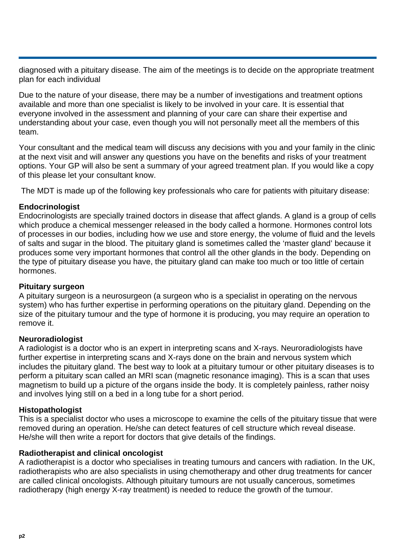diagnosed with a pituitary disease. The aim of the meetings is to decide on the appropriate treatment plan for each individual

Due to the nature of your disease, there may be a number of investigations and treatment options available and more than one specialist is likely to be involved in your care. It is essential that everyone involved in the assessment and planning of your care can share their expertise and understanding about your case, even though you will not personally meet all the members of this team

Your consultant and the medical team will discuss any decisions with you and your family in the clinic at the next visit and will answer any questions you have on the benefits and risks of your treatment options. Your GP will also be sent a summary of your agreed treatment plan. If you would like a copy of this please let your consultant know.

The MDT is made up of the following key professionals who care for patients with pituitary disease:

#### **Endocrinologist**

Endocrinologists are specially trained doctors in disease that affect glands. A gland is a group of cells which produce a chemical messenger released in the body called a hormone. Hormones control lots of processes in our bodies, including how we use and store energy, the volume of fluid and the levels of salts and sugar in the blood. The pituitary gland is sometimes called the 'master gland' because it produces some very important hormones that control all the other glands in the body. Depending on the type of pituitary disease you have, the pituitary gland can make too much or too little of certain hormones.

#### **Pituitary surgeon**

A pituitary surgeon is a neurosurgeon (a surgeon who is a specialist in operating on the nervous system) who has further expertise in performing operations on the pituitary gland. Depending on the size of the pituitary tumour and the type of hormone it is producing, you may require an operation to remove it.

#### **Neuroradiologist**

A radiologist is a doctor who is an expert in interpreting scans and X-rays. Neuroradiologists have further expertise in interpreting scans and X-rays done on the brain and nervous system which includes the pituitary gland. The best way to look at a pituitary tumour or other pituitary diseases is to perform a pituitary scan called an MRI scan (magnetic resonance imaging). This is a scan that uses magnetism to build up a picture of the organs inside the body. It is completely painless, rather noisy and involves lying still on a bed in a long tube for a short period.

#### **Histopathologist**

This is a specialist doctor who uses a microscope to examine the cells of the pituitary tissue that were removed during an operation. He/she can detect features of cell structure which reveal disease. He/she will then write a report for doctors that give details of the findings.

#### **Radiotherapist and clinical oncologist**

A radiotherapist is a doctor who specialises in treating tumours and cancers with radiation. In the UK, radiotherapists who are also specialists in using chemotherapy and other drug treatments for cancer are called clinical oncologists. Although pituitary tumours are not usually cancerous, sometimes radiotherapy (high energy X-ray treatment) is needed to reduce the growth of the tumour.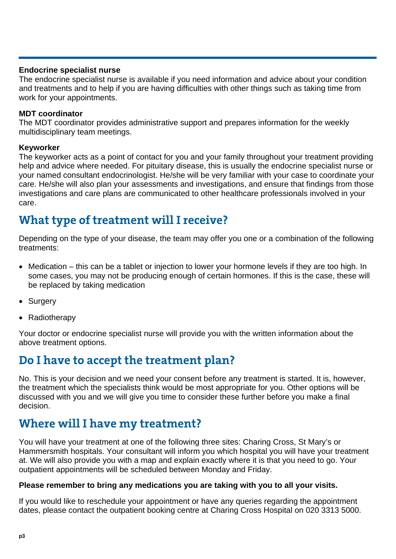#### **Endocrine specialist nurse**

The endocrine specialist nurse is available if you need information and advice about your condition and treatments and to help if you are having difficulties with other things such as taking time from work for your appointments.

#### **MDT coordinator**

The MDT coordinator provides administrative support and prepares information for the weekly multidisciplinary team meetings.

#### **Keyworker**

The keyworker acts as a point of contact for you and your family throughout your treatment providing help and advice where needed. For pituitary disease, this is usually the endocrine specialist nurse or your named consultant endocrinologist. He/she will be very familiar with your case to coordinate your care. He/she will also plan your assessments and investigations, and ensure that findings from those investigations and care plans are communicated to other healthcare professionals involved in your care.

### **What type of treatment will I receive?**

Depending on the type of your disease, the team may offer you one or a combination of the following treatments:

- Medication this can be a tablet or injection to lower your hormone levels if they are too high. In some cases, you may not be producing enough of certain hormones. If this is the case, these will be replaced by taking medication
- Surgery
- Radiotherapy

Your doctor or endocrine specialist nurse will provide you with the written information about the above treatment options.

### **Do I have to accept the treatment plan?**

No. This is your decision and we need your consent before any treatment is started. It is, however, the treatment which the specialists think would be most appropriate for you. Other options will be discussed with you and we will give you time to consider these further before you make a final decision.

### **Where will I have my treatment?**

You will have your treatment at one of the following three sites: Charing Cross, St Mary's or Hammersmith hospitals. Your consultant will inform you which hospital you will have your treatment at. We will also provide you with a map and explain exactly where it is that you need to go. Your outpatient appointments will be scheduled between Monday and Friday.

#### **Please remember to bring any medications you are taking with you to all your visits.**

If you would like to reschedule your appointment or have any queries regarding the appointment dates, please contact the outpatient booking centre at Charing Cross Hospital on 020 3313 5000.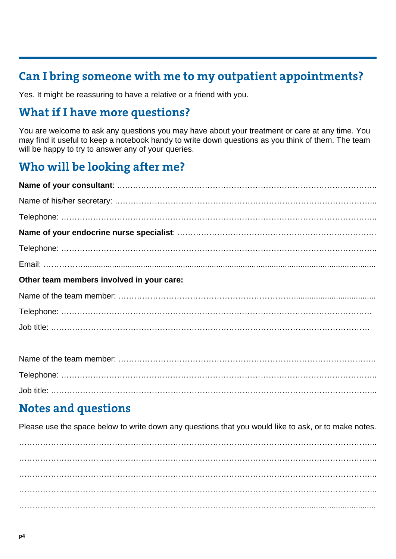### **Can I bring someone with me to my outpatient appointments?**

Yes. It might be reassuring to have a relative or a friend with you.

### **What if I have more questions?**

You are welcome to ask any questions you may have about your treatment or care at any time. You may find it useful to keep a notebook handy to write down questions as you think of them. The team will be happy to try to answer any of your queries.

### **Who will be looking after me?**

| Other team members involved in your care: |
|-------------------------------------------|
|                                           |
|                                           |
|                                           |
|                                           |
|                                           |

### **Notes and questions**

Please use the space below to write down any questions that you would like to ask, or to make notes.

……………………………………………………………………………………………………………………... ……………………………………………………………………………………………………………………... ……………………………………………………………………………………………………………………... ……………………………………………………………………………………………...................................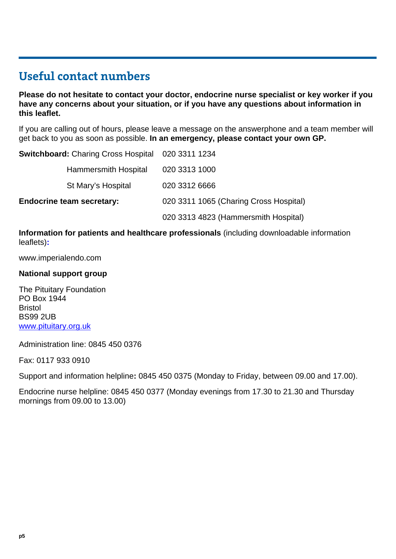### **Useful contact numbers**

**Please do not hesitate to contact your doctor, endocrine nurse specialist or key worker if you have any concerns about your situation, or if you have any questions about information in this leaflet.** 

If you are calling out of hours, please leave a message on the answerphone and a team member will get back to you as soon as possible. **In an emergency, please contact your own GP.** 

| <b>Switchboard:</b> Charing Cross Hospital 020 3311 1234 |                                        |
|----------------------------------------------------------|----------------------------------------|
| Hammersmith Hospital                                     | 020 3313 1000                          |
| St Mary's Hospital                                       | 020 3312 6666                          |
| <b>Endocrine team secretary:</b>                         | 020 3311 1065 (Charing Cross Hospital) |
|                                                          | 020 3313 4823 (Hammersmith Hospital)   |

**Information for patients and healthcare professionals** (including downloadable information leaflets)**:** 

www.imperialendo.com

#### **National support group**

The Pituitary Foundation PO Box 1944 Bristol BS99 2UB [www.pituitary.org.uk](http://www.pituitary.org.uk/)

Administration line: 0845 450 0376

Fax: 0117 933 0910

Support and information helpline**:** 0845 450 0375 (Monday to Friday, between 09.00 and 17.00).

Endocrine nurse helpline: 0845 450 0377 (Monday evenings from 17.30 to 21.30 and Thursday mornings from 09.00 to 13.00)